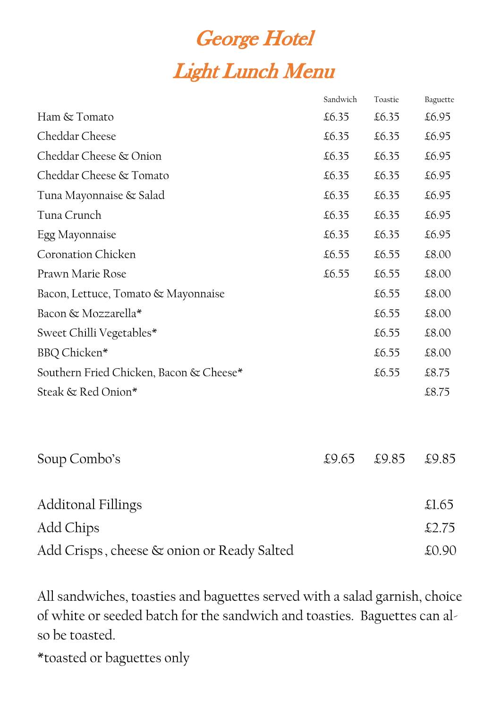## **George Hotel** Light Lunch Menu

|                                         | Sandwich | Toastie | Baguette |
|-----------------------------------------|----------|---------|----------|
| Ham & Tomato                            | £6.35    | £6.35   | £6.95    |
| Cheddar Cheese                          | £6.35    | £6.35   | £6.95    |
| Cheddar Cheese & Onion                  | £6.35    | £6.35   | £6.95    |
| Cheddar Cheese & Tomato                 | £6.35    | £6.35   | £6.95    |
| Tuna Mayonnaise & Salad                 | £6.35    | £6.35   | £6.95    |
| Tuna Crunch                             | £6.35    | £6.35   | £6.95    |
| Egg Mayonnaise                          | £6.35    | £6.35   | £6.95    |
| <b>Coronation Chicken</b>               | £6.55    | £6.55   | £8.00    |
| Prawn Marie Rose                        | £6.55    | £6.55   | £8.00    |
| Bacon, Lettuce, Tomato & Mayonnaise     |          | £6.55   | £8.00    |
| Bacon & Mozzarella*                     |          | £6.55   | £8.00    |
| Sweet Chilli Vegetables*                |          | £6.55   | £8.00    |
| BBQ Chicken*                            |          | £6.55   | £8.00    |
| Southern Fried Chicken, Bacon & Cheese* |          | £6.55   | £8.75    |
| Steak & Red Onion*                      |          |         | £8.75    |
|                                         |          |         |          |
| Soup Combo's                            | £9.65    | £9.85   | £9.85    |

| Additonal Fillings | $\pounds1.65$ |
|--------------------|---------------|
| Add Chips          | £2.75         |



All sandwiches, toasties and baguettes served with a salad garnish, choice of white or seeded batch for the sandwich and toasties. Baguettes can also be toasted.

\*toasted or baguettes only